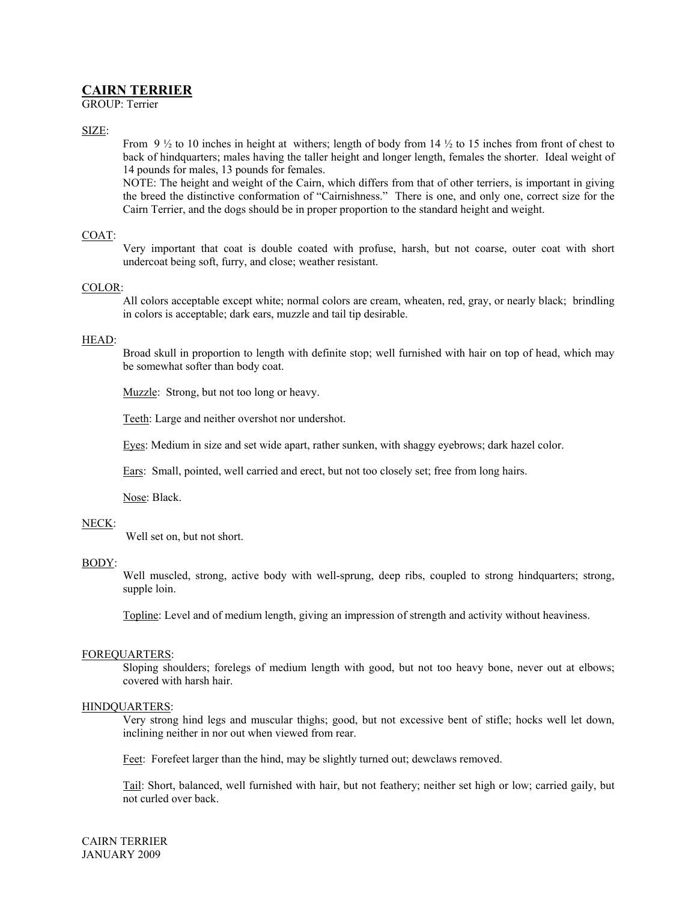# **CAIRN TERRIER**

GROUP: Terrier

## SIZE:

From 9  $\frac{1}{2}$  to 10 inches in height at withers; length of body from 14  $\frac{1}{2}$  to 15 inches from front of chest to back of hindquarters; males having the taller height and longer length, females the shorter. Ideal weight of 14 pounds for males, 13 pounds for females.

NOTE: The height and weight of the Cairn, which differs from that of other terriers, is important in giving the breed the distinctive conformation of "Cairnishness." There is one, and only one, correct size for the Cairn Terrier, and the dogs should be in proper proportion to the standard height and weight.

### COAT:

Very important that coat is double coated with profuse, harsh, but not coarse, outer coat with short undercoat being soft, furry, and close; weather resistant.

#### COLOR:

All colors acceptable except white; normal colors are cream, wheaten, red, gray, or nearly black; brindling in colors is acceptable; dark ears, muzzle and tail tip desirable.

#### HEAD:

Broad skull in proportion to length with definite stop; well furnished with hair on top of head, which may be somewhat softer than body coat.

Muzzle: Strong, but not too long or heavy.

Teeth: Large and neither overshot nor undershot.

Eyes: Medium in size and set wide apart, rather sunken, with shaggy eyebrows; dark hazel color.

Ears: Small, pointed, well carried and erect, but not too closely set; free from long hairs.

Nose: Black.

#### NECK:

Well set on, but not short.

#### BODY:

Well muscled, strong, active body with well-sprung, deep ribs, coupled to strong hindquarters; strong, supple loin.

Topline: Level and of medium length, giving an impression of strength and activity without heaviness.

#### FOREQUARTERS:

Sloping shoulders; forelegs of medium length with good, but not too heavy bone, never out at elbows; covered with harsh hair.

#### HINDQUARTERS:

Very strong hind legs and muscular thighs; good, but not excessive bent of stifle; hocks well let down, inclining neither in nor out when viewed from rear.

Feet: Forefeet larger than the hind, may be slightly turned out; dewclaws removed.

Tail: Short, balanced, well furnished with hair, but not feathery; neither set high or low; carried gaily, but not curled over back.

CAIRN TERRIER JANUARY 2009